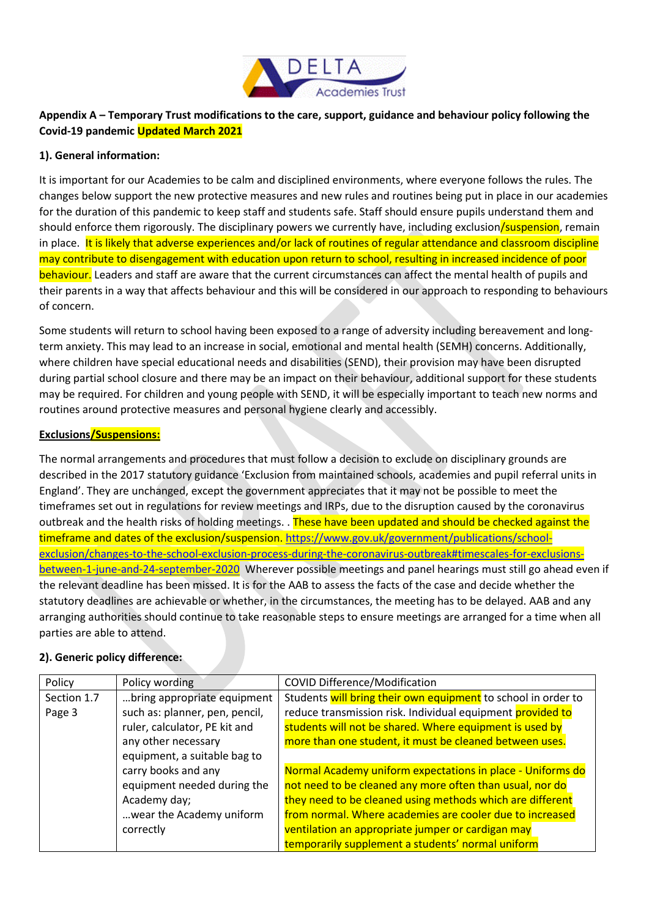

## **Appendix A – Temporary Trust modifications to the care, support, guidance and behaviour policy following the Covid-19 pandemic Updated March 2021**

### **1). General information:**

It is important for our Academies to be calm and disciplined environments, where everyone follows the rules. The changes below support the new protective measures and new rules and routines being put in place in our academies for the duration of this pandemic to keep staff and students safe. Staff should ensure pupils understand them and should enforce them rigorously. The disciplinary powers we currently have, including exclusion/suspension, remain in place. It is likely that adverse experiences and/or lack of routines of regular attendance and classroom discipline may contribute to disengagement with education upon return to school, resulting in increased incidence of poor behaviour. Leaders and staff are aware that the current circumstances can affect the mental health of pupils and their parents in a way that affects behaviour and this will be considered in our approach to responding to behaviours of concern.

Some students will return to school having been exposed to a range of adversity including bereavement and longterm anxiety. This may lead to an increase in social, emotional and mental health (SEMH) concerns. Additionally, where children have special educational needs and disabilities (SEND), their provision may have been disrupted during partial school closure and there may be an impact on their behaviour, additional support for these students may be required. For children and young people with SEND, it will be especially important to teach new norms and routines around protective measures and personal hygiene clearly and accessibly.

#### **Exclusions/Suspensions:**

The normal arrangements and procedures that must follow a decision to exclude on disciplinary grounds are described in the 2017 statutory guidance 'Exclusion from maintained schools, academies and pupil referral units in England'. They are unchanged, except the government appreciates that it may not be possible to meet the timeframes set out in regulations for review meetings and IRPs, due to the disruption caused by the coronavirus outbreak and the health risks of holding meetings. . These have been updated and should be checked against the timeframe and dates of the exclusion/suspension. [https://www.gov.uk/government/publications/school](https://www.gov.uk/government/publications/school-exclusion/changes-to-the-school-exclusion-process-during-the-coronavirus-outbreak#timescales-for-exclusions-between-1-june-and-24-september-2020)[exclusion/changes-to-the-school-exclusion-process-during-the-coronavirus-outbreak#timescales-for-exclusions](https://www.gov.uk/government/publications/school-exclusion/changes-to-the-school-exclusion-process-during-the-coronavirus-outbreak#timescales-for-exclusions-between-1-june-and-24-september-2020)[between-1-june-and-24-september-2020](https://www.gov.uk/government/publications/school-exclusion/changes-to-the-school-exclusion-process-during-the-coronavirus-outbreak#timescales-for-exclusions-between-1-june-and-24-september-2020) Wherever possible meetings and panel hearings must still go ahead even if the relevant deadline has been missed. It is for the AAB to assess the facts of the case and decide whether the statutory deadlines are achievable or whether, in the circumstances, the meeting has to be delayed. AAB and any arranging authorities should continue to take reasonable steps to ensure meetings are arranged for a time when all parties are able to attend.

### **2). Generic policy difference:**

| Policy      | Policy wording                 | <b>COVID Difference/Modification</b>                          |
|-------------|--------------------------------|---------------------------------------------------------------|
| Section 1.7 | bring appropriate equipment    | Students will bring their own equipment to school in order to |
| Page 3      | such as: planner, pen, pencil, | reduce transmission risk. Individual equipment provided to    |
|             | ruler, calculator, PE kit and  | students will not be shared. Where equipment is used by       |
|             | any other necessary            | more than one student, it must be cleaned between uses.       |
|             | equipment, a suitable bag to   |                                                               |
|             | carry books and any            | Normal Academy uniform expectations in place - Uniforms do    |
|             | equipment needed during the    | not need to be cleaned any more often than usual, nor do      |
|             | Academy day;                   | they need to be cleaned using methods which are different     |
|             | wear the Academy uniform       | from normal. Where academies are cooler due to increased      |
|             | correctly                      | ventilation an appropriate jumper or cardigan may             |
|             |                                | temporarily supplement a students' normal uniform             |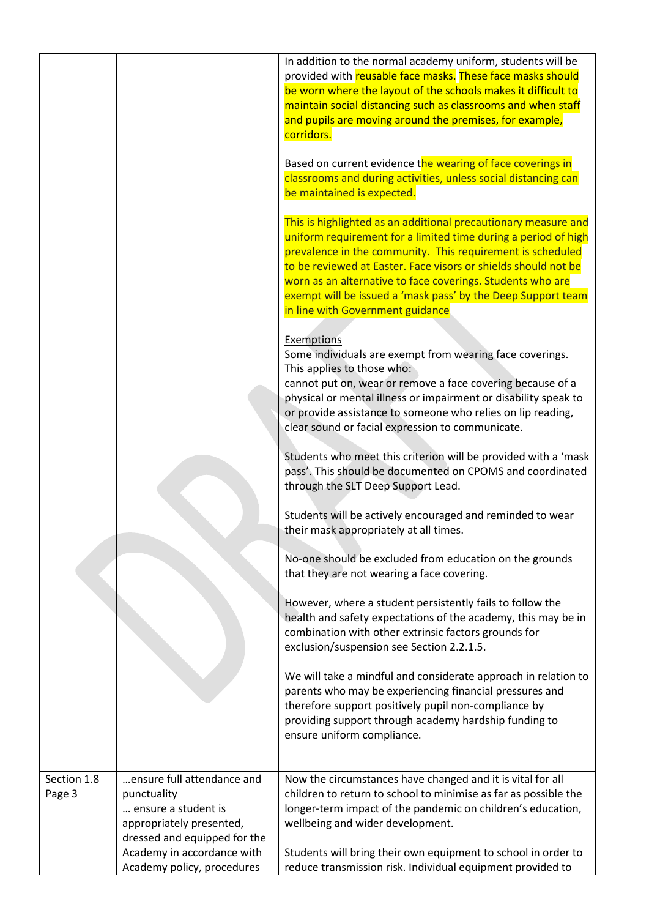|                       |                                                                                                                              | In addition to the normal academy uniform, students will be<br>provided with reusable face masks. These face masks should<br>be worn where the layout of the schools makes it difficult to<br>maintain social distancing such as classrooms and when staff<br>and pupils are moving around the premises, for example,<br>corridors.                                                                                                |
|-----------------------|------------------------------------------------------------------------------------------------------------------------------|------------------------------------------------------------------------------------------------------------------------------------------------------------------------------------------------------------------------------------------------------------------------------------------------------------------------------------------------------------------------------------------------------------------------------------|
|                       |                                                                                                                              | Based on current evidence the wearing of face coverings in<br>classrooms and during activities, unless social distancing can<br>be maintained is expected.                                                                                                                                                                                                                                                                         |
|                       |                                                                                                                              | This is highlighted as an additional precautionary measure and<br>uniform requirement for a limited time during a period of high<br>prevalence in the community. This requirement is scheduled<br>to be reviewed at Easter. Face visors or shields should not be<br>worn as an alternative to face coverings. Students who are<br>exempt will be issued a 'mask pass' by the Deep Support team<br>in line with Government guidance |
|                       |                                                                                                                              | <b>Exemptions</b><br>Some individuals are exempt from wearing face coverings.<br>This applies to those who:<br>cannot put on, wear or remove a face covering because of a<br>physical or mental illness or impairment or disability speak to<br>or provide assistance to someone who relies on lip reading,<br>clear sound or facial expression to communicate.                                                                    |
|                       |                                                                                                                              | Students who meet this criterion will be provided with a 'mask<br>pass'. This should be documented on CPOMS and coordinated<br>through the SLT Deep Support Lead.                                                                                                                                                                                                                                                                  |
|                       |                                                                                                                              | Students will be actively encouraged and reminded to wear<br>their mask appropriately at all times.                                                                                                                                                                                                                                                                                                                                |
|                       |                                                                                                                              | No-one should be excluded from education on the grounds<br>that they are not wearing a face covering.                                                                                                                                                                                                                                                                                                                              |
|                       |                                                                                                                              | However, where a student persistently fails to follow the<br>health and safety expectations of the academy, this may be in<br>combination with other extrinsic factors grounds for<br>exclusion/suspension see Section 2.2.1.5.                                                                                                                                                                                                    |
|                       |                                                                                                                              | We will take a mindful and considerate approach in relation to<br>parents who may be experiencing financial pressures and<br>therefore support positively pupil non-compliance by<br>providing support through academy hardship funding to<br>ensure uniform compliance.                                                                                                                                                           |
| Section 1.8<br>Page 3 | ensure full attendance and<br>punctuality<br>ensure a student is<br>appropriately presented,<br>dressed and equipped for the | Now the circumstances have changed and it is vital for all<br>children to return to school to minimise as far as possible the<br>longer-term impact of the pandemic on children's education,<br>wellbeing and wider development.                                                                                                                                                                                                   |
|                       | Academy in accordance with<br>Academy policy, procedures                                                                     | Students will bring their own equipment to school in order to<br>reduce transmission risk. Individual equipment provided to                                                                                                                                                                                                                                                                                                        |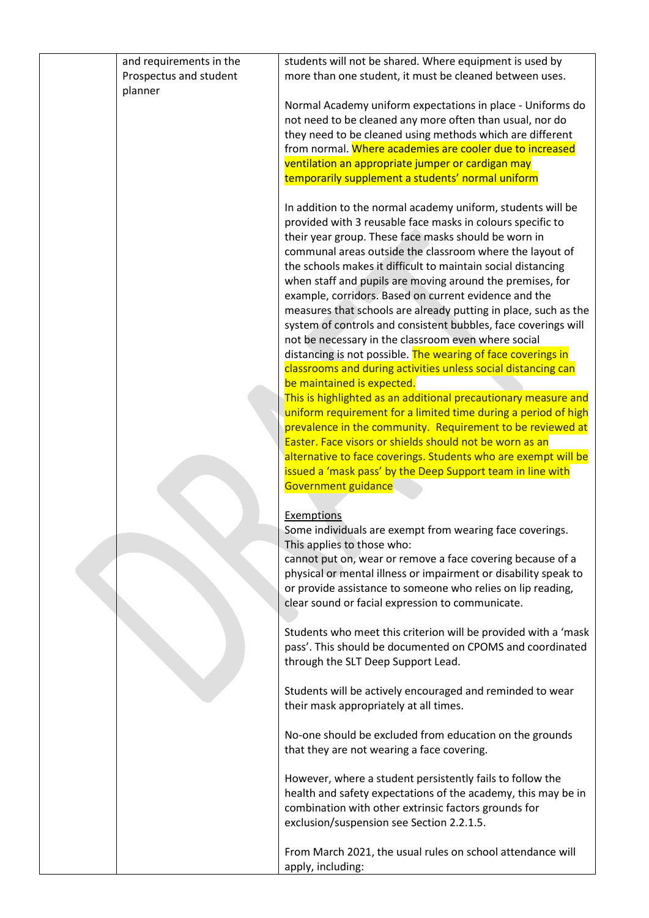| and requirements in the           | students will not be shared. Where equipment is used by                                                                           |
|-----------------------------------|-----------------------------------------------------------------------------------------------------------------------------------|
| Prospectus and student<br>planner | more than one student, it must be cleaned between uses.                                                                           |
|                                   | Normal Academy uniform expectations in place - Uniforms do                                                                        |
|                                   | not need to be cleaned any more often than usual, nor do                                                                          |
|                                   | they need to be cleaned using methods which are different                                                                         |
|                                   | from normal. Where academies are cooler due to increased                                                                          |
|                                   | ventilation an appropriate jumper or cardigan may<br>temporarily supplement a students' normal uniform                            |
|                                   |                                                                                                                                   |
|                                   | In addition to the normal academy uniform, students will be                                                                       |
|                                   | provided with 3 reusable face masks in colours specific to                                                                        |
|                                   | their year group. These face masks should be worn in<br>communal areas outside the classroom where the layout of                  |
|                                   | the schools makes it difficult to maintain social distancing                                                                      |
|                                   | when staff and pupils are moving around the premises, for                                                                         |
|                                   | example, corridors. Based on current evidence and the                                                                             |
|                                   | measures that schools are already putting in place, such as the<br>system of controls and consistent bubbles, face coverings will |
|                                   | not be necessary in the classroom even where social                                                                               |
|                                   | distancing is not possible. The wearing of face coverings in                                                                      |
|                                   | classrooms and during activities unless social distancing can                                                                     |
|                                   | be maintained is expected.<br>This is highlighted as an additional precautionary measure and                                      |
|                                   | uniform requirement for a limited time during a period of high                                                                    |
|                                   | prevalence in the community. Requirement to be reviewed at                                                                        |
|                                   | Easter. Face visors or shields should not be worn as an                                                                           |
|                                   | alternative to face coverings. Students who are exempt will be                                                                    |
|                                   | issued a 'mask pass' by the Deep Support team in line with<br>Government guidance                                                 |
|                                   |                                                                                                                                   |
|                                   | Exemptions                                                                                                                        |
|                                   | Some individuals are exempt from wearing face coverings.<br>This applies to those who:                                            |
|                                   | cannot put on, wear or remove a face covering because of a                                                                        |
|                                   | physical or mental illness or impairment or disability speak to                                                                   |
|                                   | or provide assistance to someone who relies on lip reading,                                                                       |
|                                   | clear sound or facial expression to communicate.                                                                                  |
|                                   | Students who meet this criterion will be provided with a 'mask                                                                    |
|                                   | pass'. This should be documented on CPOMS and coordinated                                                                         |
|                                   | through the SLT Deep Support Lead.                                                                                                |
|                                   | Students will be actively encouraged and reminded to wear                                                                         |
|                                   | their mask appropriately at all times.                                                                                            |
|                                   |                                                                                                                                   |
|                                   | No-one should be excluded from education on the grounds<br>that they are not wearing a face covering.                             |
|                                   |                                                                                                                                   |
|                                   | However, where a student persistently fails to follow the                                                                         |
|                                   | health and safety expectations of the academy, this may be in                                                                     |
|                                   | combination with other extrinsic factors grounds for<br>exclusion/suspension see Section 2.2.1.5.                                 |
|                                   |                                                                                                                                   |
|                                   | From March 2021, the usual rules on school attendance will                                                                        |
|                                   | apply, including:                                                                                                                 |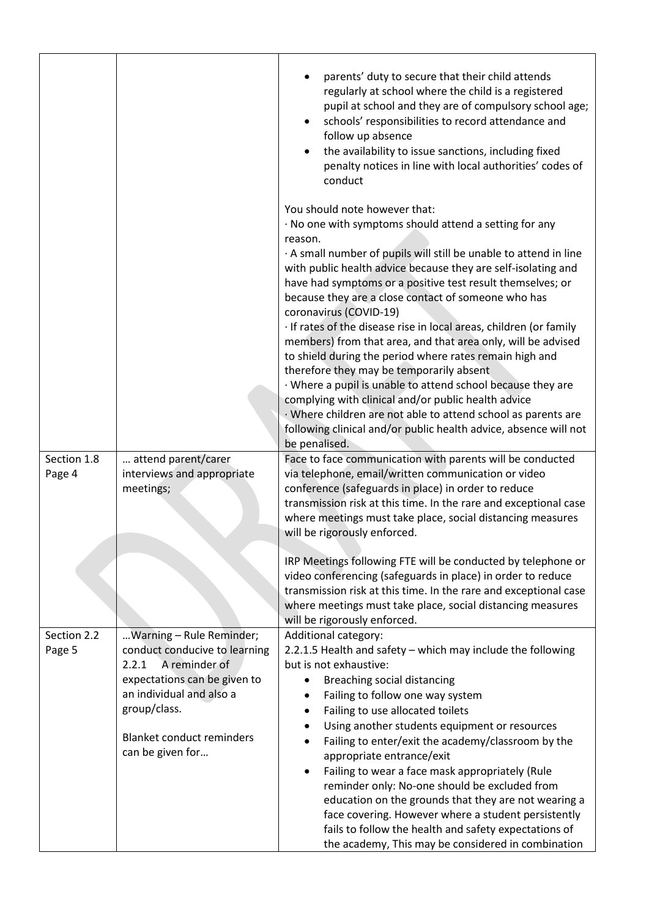|                       |                                                                                                                                                                                                                         | parents' duty to secure that their child attends<br>regularly at school where the child is a registered<br>pupil at school and they are of compulsory school age;<br>schools' responsibilities to record attendance and<br>follow up absence<br>the availability to issue sanctions, including fixed<br>penalty notices in line with local authorities' codes of<br>conduct                                                                                                                                                                                                                                                                                                                                                                                                                                                                                                                                    |
|-----------------------|-------------------------------------------------------------------------------------------------------------------------------------------------------------------------------------------------------------------------|----------------------------------------------------------------------------------------------------------------------------------------------------------------------------------------------------------------------------------------------------------------------------------------------------------------------------------------------------------------------------------------------------------------------------------------------------------------------------------------------------------------------------------------------------------------------------------------------------------------------------------------------------------------------------------------------------------------------------------------------------------------------------------------------------------------------------------------------------------------------------------------------------------------|
|                       |                                                                                                                                                                                                                         | You should note however that:<br>· No one with symptoms should attend a setting for any<br>reason.<br>. A small number of pupils will still be unable to attend in line<br>with public health advice because they are self-isolating and<br>have had symptoms or a positive test result themselves; or<br>because they are a close contact of someone who has<br>coronavirus (COVID-19)<br>· If rates of the disease rise in local areas, children (or family<br>members) from that area, and that area only, will be advised<br>to shield during the period where rates remain high and<br>therefore they may be temporarily absent<br>· Where a pupil is unable to attend school because they are<br>complying with clinical and/or public health advice<br>Where children are not able to attend school as parents are<br>following clinical and/or public health advice, absence will not<br>be penalised. |
| Section 1.8<br>Page 4 | attend parent/carer<br>interviews and appropriate<br>meetings;                                                                                                                                                          | Face to face communication with parents will be conducted<br>via telephone, email/written communication or video<br>conference (safeguards in place) in order to reduce<br>transmission risk at this time. In the rare and exceptional case<br>where meetings must take place, social distancing measures<br>will be rigorously enforced.                                                                                                                                                                                                                                                                                                                                                                                                                                                                                                                                                                      |
|                       |                                                                                                                                                                                                                         | IRP Meetings following FTE will be conducted by telephone or<br>video conferencing (safeguards in place) in order to reduce<br>transmission risk at this time. In the rare and exceptional case<br>where meetings must take place, social distancing measures<br>will be rigorously enforced.                                                                                                                                                                                                                                                                                                                                                                                                                                                                                                                                                                                                                  |
| Section 2.2<br>Page 5 | Warning - Rule Reminder;<br>conduct conducive to learning<br>A reminder of<br>2.2.1<br>expectations can be given to<br>an individual and also a<br>group/class.<br><b>Blanket conduct reminders</b><br>can be given for | Additional category:<br>2.2.1.5 Health and safety - which may include the following<br>but is not exhaustive:<br>Breaching social distancing<br>٠<br>Failing to follow one way system<br>Failing to use allocated toilets<br>Using another students equipment or resources<br>٠<br>Failing to enter/exit the academy/classroom by the<br>appropriate entrance/exit<br>Failing to wear a face mask appropriately (Rule<br>reminder only: No-one should be excluded from<br>education on the grounds that they are not wearing a<br>face covering. However where a student persistently<br>fails to follow the health and safety expectations of<br>the academy, This may be considered in combination                                                                                                                                                                                                           |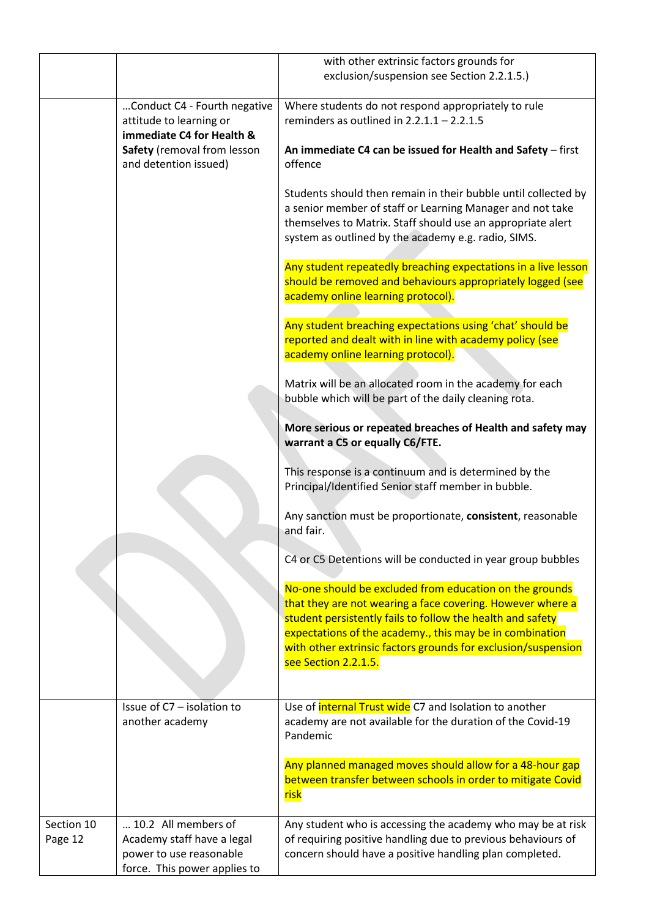|                       |                                                                                                              | with other extrinsic factors grounds for<br>exclusion/suspension see Section 2.2.1.5.)                                                                                                                                                                                                                                                   |
|-----------------------|--------------------------------------------------------------------------------------------------------------|------------------------------------------------------------------------------------------------------------------------------------------------------------------------------------------------------------------------------------------------------------------------------------------------------------------------------------------|
|                       | Conduct C4 - Fourth negative<br>attitude to learning or<br>immediate C4 for Health &                         | Where students do not respond appropriately to rule<br>reminders as outlined in $2.2.1.1 - 2.2.1.5$                                                                                                                                                                                                                                      |
|                       | <b>Safety</b> (removal from lesson<br>and detention issued)                                                  | An immediate C4 can be issued for Health and Safety - first<br>offence                                                                                                                                                                                                                                                                   |
|                       |                                                                                                              | Students should then remain in their bubble until collected by<br>a senior member of staff or Learning Manager and not take<br>themselves to Matrix. Staff should use an appropriate alert<br>system as outlined by the academy e.g. radio, SIMS.                                                                                        |
|                       |                                                                                                              | Any student repeatedly breaching expectations in a live lesson<br>should be removed and behaviours appropriately logged (see<br>academy online learning protocol).                                                                                                                                                                       |
|                       |                                                                                                              | Any student breaching expectations using 'chat' should be<br>reported and dealt with in line with academy policy (see<br>academy online learning protocol).                                                                                                                                                                              |
|                       |                                                                                                              | Matrix will be an allocated room in the academy for each<br>bubble which will be part of the daily cleaning rota.                                                                                                                                                                                                                        |
|                       |                                                                                                              | More serious or repeated breaches of Health and safety may<br>warrant a C5 or equally C6/FTE.                                                                                                                                                                                                                                            |
|                       |                                                                                                              | This response is a continuum and is determined by the<br>Principal/Identified Senior staff member in bubble.                                                                                                                                                                                                                             |
|                       |                                                                                                              | Any sanction must be proportionate, consistent, reasonable<br>and fair.                                                                                                                                                                                                                                                                  |
|                       |                                                                                                              | C4 or C5 Detentions will be conducted in year group bubbles                                                                                                                                                                                                                                                                              |
|                       |                                                                                                              | No-one should be excluded from education on the grounds<br>that they are not wearing a face covering. However where a<br>student persistently fails to follow the health and safety<br>expectations of the academy., this may be in combination<br>with other extrinsic factors grounds for exclusion/suspension<br>see Section 2.2.1.5. |
|                       | Issue of C7 - isolation to<br>another academy                                                                | Use of internal Trust wide C7 and Isolation to another<br>academy are not available for the duration of the Covid-19<br>Pandemic                                                                                                                                                                                                         |
|                       |                                                                                                              | Any planned managed moves should allow for a 48-hour gap<br>between transfer between schools in order to mitigate Covid<br>risk                                                                                                                                                                                                          |
| Section 10<br>Page 12 | 10.2 All members of<br>Academy staff have a legal<br>power to use reasonable<br>force. This power applies to | Any student who is accessing the academy who may be at risk<br>of requiring positive handling due to previous behaviours of<br>concern should have a positive handling plan completed.                                                                                                                                                   |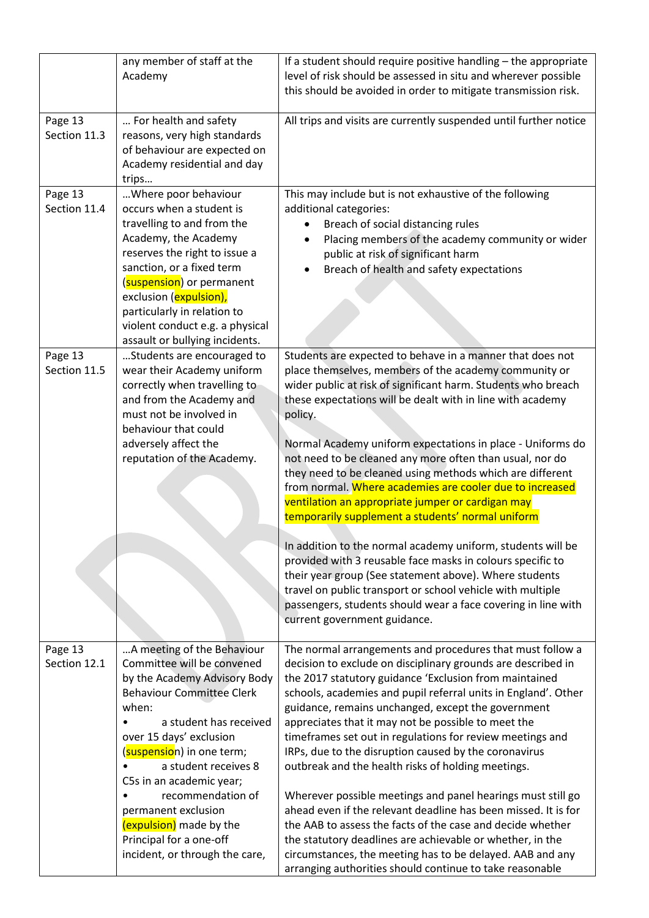|                         | any member of staff at the<br>Academy                                                                                                                                                                                                                                                                                                                                                                           | If a student should require positive handling - the appropriate<br>level of risk should be assessed in situ and wherever possible<br>this should be avoided in order to mitigate transmission risk.                                                                                                                                                                                                                                                                                                                                                                                                                                                                                                                                                                                                                                                                                                                                                                             |
|-------------------------|-----------------------------------------------------------------------------------------------------------------------------------------------------------------------------------------------------------------------------------------------------------------------------------------------------------------------------------------------------------------------------------------------------------------|---------------------------------------------------------------------------------------------------------------------------------------------------------------------------------------------------------------------------------------------------------------------------------------------------------------------------------------------------------------------------------------------------------------------------------------------------------------------------------------------------------------------------------------------------------------------------------------------------------------------------------------------------------------------------------------------------------------------------------------------------------------------------------------------------------------------------------------------------------------------------------------------------------------------------------------------------------------------------------|
| Page 13<br>Section 11.3 | For health and safety<br>reasons, very high standards<br>of behaviour are expected on<br>Academy residential and day<br>trips                                                                                                                                                                                                                                                                                   | All trips and visits are currently suspended until further notice                                                                                                                                                                                                                                                                                                                                                                                                                                                                                                                                                                                                                                                                                                                                                                                                                                                                                                               |
| Page 13<br>Section 11.4 | Where poor behaviour<br>occurs when a student is<br>travelling to and from the<br>Academy, the Academy<br>reserves the right to issue a<br>sanction, or a fixed term<br>(suspension) or permanent<br>exclusion (expulsion),<br>particularly in relation to<br>violent conduct e.g. a physical<br>assault or bullying incidents.                                                                                 | This may include but is not exhaustive of the following<br>additional categories:<br>Breach of social distancing rules<br>Placing members of the academy community or wider<br>public at risk of significant harm<br>Breach of health and safety expectations<br>$\bullet$                                                                                                                                                                                                                                                                                                                                                                                                                                                                                                                                                                                                                                                                                                      |
| Page 13<br>Section 11.5 | Students are encouraged to<br>wear their Academy uniform<br>correctly when travelling to<br>and from the Academy and<br>must not be involved in<br>behaviour that could<br>adversely affect the<br>reputation of the Academy.                                                                                                                                                                                   | Students are expected to behave in a manner that does not<br>place themselves, members of the academy community or<br>wider public at risk of significant harm. Students who breach<br>these expectations will be dealt with in line with academy<br>policy.<br>Normal Academy uniform expectations in place - Uniforms do<br>not need to be cleaned any more often than usual, nor do<br>they need to be cleaned using methods which are different<br>from normal. Where academies are cooler due to increased<br>ventilation an appropriate jumper or cardigan may<br>temporarily supplement a students' normal uniform<br>In addition to the normal academy uniform, students will be<br>provided with 3 reusable face masks in colours specific to<br>their year group (See statement above). Where students<br>travel on public transport or school vehicle with multiple<br>passengers, students should wear a face covering in line with<br>current government guidance. |
| Page 13<br>Section 12.1 | A meeting of the Behaviour<br>Committee will be convened<br>by the Academy Advisory Body<br><b>Behaviour Committee Clerk</b><br>when:<br>a student has received<br>over 15 days' exclusion<br>(suspension) in one term;<br>a student receives 8<br>C5s in an academic year;<br>recommendation of<br>permanent exclusion<br>(expulsion) made by the<br>Principal for a one-off<br>incident, or through the care, | The normal arrangements and procedures that must follow a<br>decision to exclude on disciplinary grounds are described in<br>the 2017 statutory guidance 'Exclusion from maintained<br>schools, academies and pupil referral units in England'. Other<br>guidance, remains unchanged, except the government<br>appreciates that it may not be possible to meet the<br>timeframes set out in regulations for review meetings and<br>IRPs, due to the disruption caused by the coronavirus<br>outbreak and the health risks of holding meetings.<br>Wherever possible meetings and panel hearings must still go<br>ahead even if the relevant deadline has been missed. It is for<br>the AAB to assess the facts of the case and decide whether<br>the statutory deadlines are achievable or whether, in the<br>circumstances, the meeting has to be delayed. AAB and any<br>arranging authorities should continue to take reasonable                                             |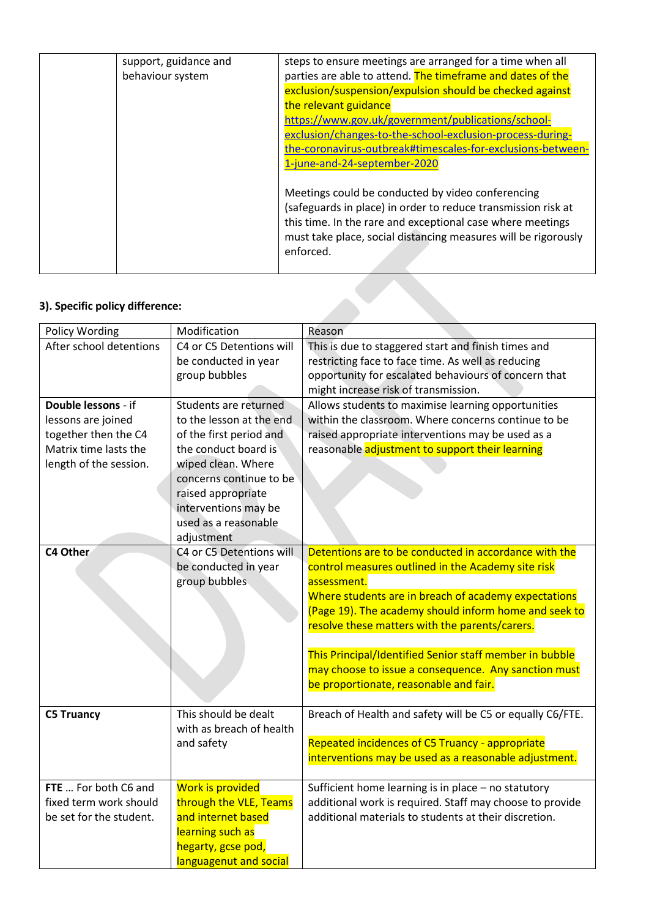| support, guidance and<br>behaviour system | steps to ensure meetings are arranged for a time when all<br>parties are able to attend. The timeframe and dates of the                                                                                                                                         |
|-------------------------------------------|-----------------------------------------------------------------------------------------------------------------------------------------------------------------------------------------------------------------------------------------------------------------|
|                                           | exclusion/suspension/expulsion should be checked against                                                                                                                                                                                                        |
|                                           | the relevant guidance                                                                                                                                                                                                                                           |
|                                           | https://www.gov.uk/government/publications/school-                                                                                                                                                                                                              |
|                                           | exclusion/changes-to-the-school-exclusion-process-during-                                                                                                                                                                                                       |
|                                           | the-coronavirus-outbreak#timescales-for-exclusions-between-                                                                                                                                                                                                     |
|                                           | 1-june-and-24-september-2020                                                                                                                                                                                                                                    |
|                                           | Meetings could be conducted by video conferencing<br>(safeguards in place) in order to reduce transmission risk at<br>this time. In the rare and exceptional case where meetings<br>must take place, social distancing measures will be rigorously<br>enforced. |

# **3). Specific policy difference:**

| 3). Specific policy difference: |                                                                   |                                                                                                                                                                                                           |
|---------------------------------|-------------------------------------------------------------------|-----------------------------------------------------------------------------------------------------------------------------------------------------------------------------------------------------------|
| <b>Policy Wording</b>           | Modification                                                      | Reason                                                                                                                                                                                                    |
| After school detentions         | C4 or C5 Detentions will<br>be conducted in year<br>group bubbles | This is due to staggered start and finish times and<br>restricting face to face time. As well as reducing<br>opportunity for escalated behaviours of concern that<br>might increase risk of transmission. |
| Double lessons - if             | Students are returned                                             | Allows students to maximise learning opportunities                                                                                                                                                        |
| lessons are joined              | to the lesson at the end                                          | within the classroom. Where concerns continue to be                                                                                                                                                       |
| together then the C4            | of the first period and                                           | raised appropriate interventions may be used as a                                                                                                                                                         |
| Matrix time lasts the           | the conduct board is                                              | reasonable adjustment to support their learning                                                                                                                                                           |
| length of the session.          | wiped clean. Where                                                |                                                                                                                                                                                                           |
|                                 | concerns continue to be                                           |                                                                                                                                                                                                           |
|                                 | raised appropriate                                                |                                                                                                                                                                                                           |
|                                 | interventions may be                                              |                                                                                                                                                                                                           |
|                                 | used as a reasonable                                              |                                                                                                                                                                                                           |
|                                 | adjustment                                                        |                                                                                                                                                                                                           |
| C4 Other                        | C4 or C5 Detentions will<br>be conducted in year<br>group bubbles | Detentions are to be conducted in accordance with the<br>control measures outlined in the Academy site risk<br>assessment.                                                                                |
|                                 |                                                                   | Where students are in breach of academy expectations                                                                                                                                                      |
|                                 |                                                                   | (Page 19). The academy should inform home and seek to                                                                                                                                                     |
|                                 |                                                                   | resolve these matters with the parents/carers.                                                                                                                                                            |
|                                 |                                                                   | This Principal/Identified Senior staff member in bubble                                                                                                                                                   |
|                                 |                                                                   | may choose to issue a consequence. Any sanction must                                                                                                                                                      |
|                                 |                                                                   | be proportionate, reasonable and fair.                                                                                                                                                                    |
|                                 |                                                                   |                                                                                                                                                                                                           |
| <b>C5 Truancy</b>               | This should be dealt<br>with as breach of health                  | Breach of Health and safety will be C5 or equally C6/FTE.                                                                                                                                                 |
|                                 | and safety                                                        | Repeated incidences of C5 Truancy - appropriate                                                                                                                                                           |
|                                 |                                                                   | interventions may be used as a reasonable adjustment.                                                                                                                                                     |
|                                 |                                                                   |                                                                                                                                                                                                           |
| FTE  For both C6 and            | Work is provided                                                  | Sufficient home learning is in place - no statutory                                                                                                                                                       |
| fixed term work should          | through the VLE, Teams                                            | additional work is required. Staff may choose to provide                                                                                                                                                  |
| be set for the student.         | and internet based                                                | additional materials to students at their discretion.                                                                                                                                                     |
|                                 | learning such as                                                  |                                                                                                                                                                                                           |
|                                 | hegarty, gcse pod,                                                |                                                                                                                                                                                                           |
|                                 | languagenut and social                                            |                                                                                                                                                                                                           |